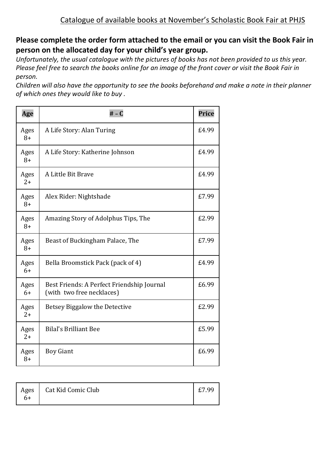## **Please complete the order form attached to the email or you can visit the Book Fair in person on the allocated day for your child's year group.**

*Unfortunately, the usual catalogue with the pictures of books has not been provided to us this year. Please feel free to search the books online for an image of the front cover or visit the Book Fair in person.* 

*Children will also have the opportunity to see the books beforehand and make a note in their planner of which ones they would like to buy .*

| Age          | $# - C$                                                                 | Price |
|--------------|-------------------------------------------------------------------------|-------|
| Ages<br>$8+$ | A Life Story: Alan Turing                                               | £4.99 |
| Ages<br>$8+$ | A Life Story: Katherine Johnson                                         | £4.99 |
| Ages<br>$2+$ | A Little Bit Brave                                                      | £4.99 |
| Ages<br>$8+$ | Alex Rider: Nightshade                                                  | £7.99 |
| Ages<br>$8+$ | Amazing Story of Adolphus Tips, The                                     | £2.99 |
| Ages<br>$8+$ | Beast of Buckingham Palace, The                                         | £7.99 |
| Ages<br>$6+$ | Bella Broomstick Pack (pack of 4)                                       | £4.99 |
| Ages<br>$6+$ | Best Friends: A Perfect Friendship Journal<br>(with two free necklaces) | £6.99 |
| Ages<br>$2+$ | Betsey Biggalow the Detective                                           | £2.99 |
| Ages<br>$2+$ | <b>Bilal's Brilliant Bee</b>                                            | £5.99 |
| Ages<br>$8+$ | <b>Boy Giant</b>                                                        | £6.99 |

| Ages | Cat Kid Comic Club | £7 QQ |
|------|--------------------|-------|
| 6+   |                    |       |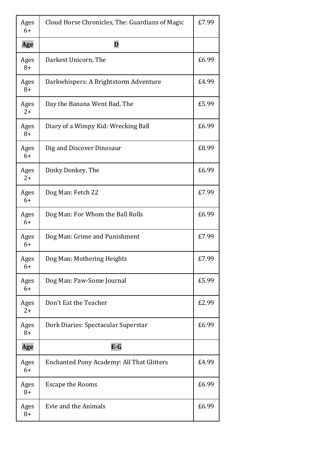| Ages<br>$6+$ | Cloud Horse Chronicles, The: Guardians of Magic  | £7.99 |
|--------------|--------------------------------------------------|-------|
| Age          | D                                                |       |
| Ages<br>$8+$ | Darkest Unicorn, The                             | £6.99 |
| Ages<br>$8+$ | Darkwhispers: A Brightstorm Adventure            | £4.99 |
| Ages<br>$2+$ | Day the Banana Went Bad, The                     | £5.99 |
| Ages<br>$8+$ | Diary of a Wimpy Kid: Wrecking Ball              | £6.99 |
| Ages<br>$6+$ | Dig and Discover Dinosaur                        | £8.99 |
| Ages<br>$2+$ | Dinky Donkey, The                                | £6.99 |
| Ages<br>$6+$ | Dog Man: Fetch 22                                | £7.99 |
| Ages<br>$6+$ | Dog Man: For Whom the Ball Rolls                 | £6.99 |
| Ages<br>$6+$ | Dog Man: Grime and Punishment                    | £7.99 |
| Ages<br>6+   | Dog Man: Mothering Heights                       | £7.99 |
| Ages<br>$6+$ | Dog Man: Paw-Some Journal                        | £5.99 |
| Ages<br>$2+$ | Don't Eat the Teacher                            | £2.99 |
| Ages<br>$8+$ | Dork Diaries: Spectacular Superstar              | £6.99 |
| Age          | $E-G$                                            |       |
| Ages<br>$6+$ | <b>Enchanted Pony Academy: All That Glitters</b> | £4.99 |
| Ages<br>$8+$ | <b>Escape the Rooms</b>                          | £6.99 |
| Ages<br>$8+$ | Evie and the Animals                             | £6.99 |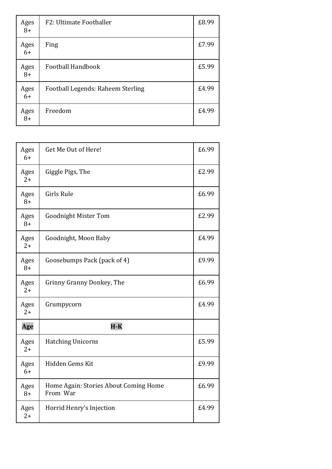| Ages<br>$8+$ | F2: Ultimate Footballer           | £8.99 |
|--------------|-----------------------------------|-------|
| Ages<br>$6+$ | Fing                              | £7.99 |
| Ages<br>$8+$ | Football Handbook                 | £5.99 |
| Ages<br>$6+$ | Football Legends: Raheem Sterling | £4.99 |
| Ages<br>$8+$ | Freedom                           | £4.99 |

| Ages<br>$6+$ | Get Me Out of Here!                               | £6.99 |
|--------------|---------------------------------------------------|-------|
| Ages<br>$2+$ | Giggle Pigs, The                                  | £2.99 |
| Ages<br>$8+$ | Girls Rule                                        | £6.99 |
| Ages<br>$8+$ | <b>Goodnight Mister Tom</b>                       | £2.99 |
| Ages<br>$2+$ | Goodnight, Moon Baby                              | £4.99 |
| Ages<br>$8+$ | Goosebumps Pack (pack of 4)                       | £9.99 |
| Ages<br>$2+$ | Grinny Granny Donkey, The                         | £6.99 |
| Ages<br>$2+$ | Grumpycorn                                        | £4.99 |
| Age          | $H-K$                                             |       |
| Ages<br>$2+$ | <b>Hatching Unicorns</b>                          | £5.99 |
| Ages<br>$6+$ | Hidden Gems Kit                                   | £9.99 |
| Ages<br>$8+$ | Home Again: Stories About Coming Home<br>From War | £6.99 |
| Ages<br>$2+$ | Horrid Henry's Injection                          | £4.99 |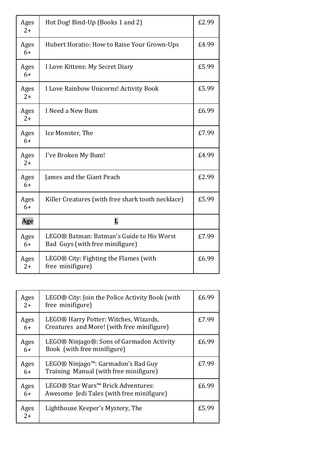| Ages<br>$2+$ | Hot Dog! Bind-Up (Books 1 and 2)                                             | £2.99 |
|--------------|------------------------------------------------------------------------------|-------|
| Ages<br>$6+$ | Hubert Horatio: How to Raise Your Grown-Ups                                  | £4.99 |
| Ages<br>$6+$ | I Love Kittens: My Secret Diary                                              | £5.99 |
| Ages<br>$2+$ | I Love Rainbow Unicorns! Activity Book                                       | £5.99 |
| Ages<br>$2+$ | I Need a New Bum                                                             | £6.99 |
| Ages<br>$6+$ | Ice Monster, The                                                             | £7.99 |
| Ages<br>$2+$ | I've Broken My Bum!                                                          | £4.99 |
| Ages<br>$6+$ | James and the Giant Peach                                                    | £2.99 |
| Ages<br>$6+$ | Killer Creatures (with free shark tooth necklace)                            | £5.99 |
| Age          | L                                                                            |       |
| Ages<br>$6+$ | LEGO® Batman: Batman's Guide to His Worst<br>Bad Guys (with free minifigure) | £7.99 |
| Ages<br>$2+$ | LEGO® City: Fighting the Flames (with<br>free minifigure)                    | £6.99 |

| Ages<br>$2+$ | LEGO® City: Join the Police Activity Book (with<br>free minifigure)                 | £6.99 |
|--------------|-------------------------------------------------------------------------------------|-------|
| Ages<br>$6+$ | LEGO® Harry Potter: Witches, Wizards,<br>Creatures and More! (with free minifigure) | £7.99 |
| Ages<br>$6+$ | LEGO® Ninjago®: Sons of Garmadon Activity<br>Book (with free minifigure)            | £6.99 |
| Ages<br>$6+$ | LEGO® Ninjago™: Garmadon's Bad Guy<br>Training Manual (with free minifigure)        | £7.99 |
| Ages<br>6+   | LEGO® Star Wars™ Brick Adventures:<br>Awesome Jedi Tales (with free minifigure)     | £6.99 |
| Ages<br>$2+$ | Lighthouse Keeper's Mystery, The                                                    | £5.99 |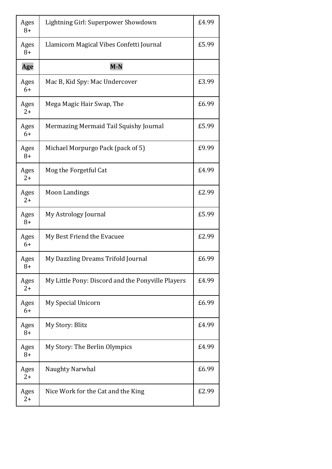| Ages<br>$8+$ | Lightning Girl: Superpower Showdown               | £4.99 |
|--------------|---------------------------------------------------|-------|
| Ages<br>$8+$ | Llamicorn Magical Vibes Confetti Journal          | £5.99 |
| Age          | $M-N$                                             |       |
| Ages<br>$6+$ | Mac B, Kid Spy: Mac Undercover                    | £3.99 |
| Ages<br>$2+$ | Mega Magic Hair Swap, The                         | £6.99 |
| Ages<br>$6+$ | Mermazing Mermaid Tail Squishy Journal            | £5.99 |
| Ages<br>$8+$ | Michael Morpurgo Pack (pack of 5)                 | £9.99 |
| Ages<br>$2+$ | Mog the Forgetful Cat                             | £4.99 |
| Ages<br>$2+$ | <b>Moon Landings</b>                              | £2.99 |
| Ages<br>$8+$ | My Astrology Journal                              | £5.99 |
| Ages<br>$6+$ | My Best Friend the Evacuee                        | £2.99 |
| Ages<br>8+   | My Dazzling Dreams Trifold Journal                | £6.99 |
| Ages<br>$2+$ | My Little Pony: Discord and the Ponyville Players | £4.99 |
| Ages<br>$6+$ | My Special Unicorn                                | £6.99 |
| Ages<br>$8+$ | My Story: Blitz                                   | £4.99 |
| Ages<br>$8+$ | My Story: The Berlin Olympics                     | £4.99 |
| Ages<br>$2+$ | Naughty Narwhal                                   | £6.99 |
| Ages<br>$2+$ | Nice Work for the Cat and the King                | £2.99 |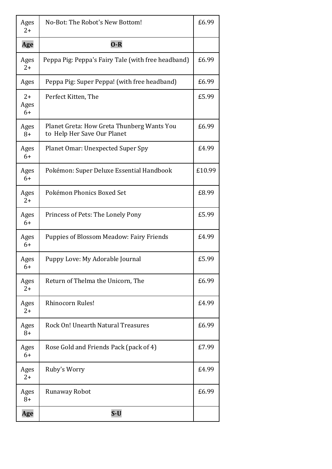| Ages<br>$2+$         | No-Bot: The Robot's New Bottom!                                           | £6.99  |
|----------------------|---------------------------------------------------------------------------|--------|
| Age                  | $O-R$                                                                     |        |
| Ages<br>$2+$         | Peppa Pig: Peppa's Fairy Tale (with free headband)                        | £6.99  |
| Ages                 | Peppa Pig: Super Peppa! (with free headband)                              | £6.99  |
| $2+$<br>Ages<br>$6+$ | Perfect Kitten, The                                                       | £5.99  |
| Ages<br>$8+$         | Planet Greta: How Greta Thunberg Wants You<br>to Help Her Save Our Planet | £6.99  |
| Ages<br>$6+$         | <b>Planet Omar: Unexpected Super Spy</b>                                  | £4.99  |
| Ages<br>$6+$         | Pokémon: Super Deluxe Essential Handbook                                  | £10.99 |
| Ages<br>$2+$         | Pokémon Phonics Boxed Set                                                 | £8.99  |
| Ages<br>$6+$         | Princess of Pets: The Lonely Pony                                         | £5.99  |
| Ages<br>$6+$         | <b>Puppies of Blossom Meadow: Fairy Friends</b>                           | £4.99  |
| Ages<br>6+           | Puppy Love: My Adorable Journal                                           | £5.99  |
| Ages<br>$2+$         | Return of Thelma the Unicorn, The                                         | £6.99  |
| Ages<br>$2+$         | Rhinocorn Rules!                                                          | £4.99  |
| Ages<br>$8+$         | Rock On! Unearth Natural Treasures                                        | £6.99  |
| Ages<br>$6+$         | Rose Gold and Friends Pack (pack of 4)                                    | £7.99  |
| Ages<br>$2+$         | Ruby's Worry                                                              | £4.99  |
| Ages<br>$8+$         | Runaway Robot                                                             | £6.99  |
| Age                  | $S-U$                                                                     |        |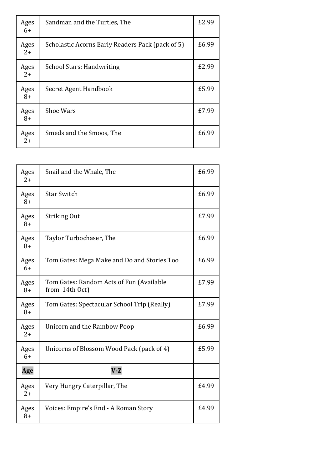| Ages<br>$6+$ | Sandman and the Turtles, The                     | £2.99 |
|--------------|--------------------------------------------------|-------|
| Ages<br>$2+$ | Scholastic Acorns Early Readers Pack (pack of 5) | £6.99 |
| Ages<br>$2+$ | <b>School Stars: Handwriting</b>                 | £2.99 |
| Ages<br>$8+$ | Secret Agent Handbook                            | £5.99 |
| Ages<br>$8+$ | <b>Shoe Wars</b>                                 | £7.99 |
| Ages<br>$2+$ | Smeds and the Smoos, The                         | £6.99 |

| Ages<br>$2+$ | Snail and the Whale, The                                   | £6.99 |
|--------------|------------------------------------------------------------|-------|
| Ages<br>$8+$ | <b>Star Switch</b>                                         | £6.99 |
| Ages<br>$8+$ | Striking Out                                               | £7.99 |
| Ages<br>$8+$ | Taylor Turbochaser, The                                    | £6.99 |
| Ages<br>$6+$ | Tom Gates: Mega Make and Do and Stories Too                | £6.99 |
| Ages<br>$8+$ | Tom Gates: Random Acts of Fun (Available<br>from 14th Oct) | £7.99 |
| Ages<br>$8+$ | Tom Gates: Spectacular School Trip (Really)                | £7.99 |
| Ages<br>$2+$ | Unicorn and the Rainbow Poop                               | £6.99 |
| Ages<br>$6+$ | Unicorns of Blossom Wood Pack (pack of 4)                  | £5.99 |
| Age          | $V-Z$                                                      |       |
| Ages<br>$2+$ | Very Hungry Caterpillar, The                               | £4.99 |
| Ages<br>$8+$ | Voices: Empire's End - A Roman Story                       | £4.99 |